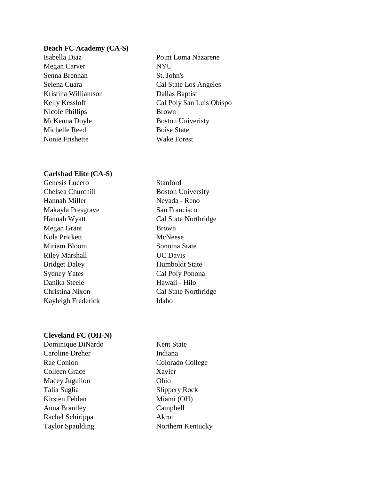### **Beach FC Academy (CA-S)**

Megan Carver NYU Senna Brennan St. John's Kristina Williamson Dallas Baptist Nicole Phillips Brown McKenna Doyle Boston University Michelle Reed Boise State Nonie Frishette Wake Forest

### **Carlsbad Elite (CA-S)**

Genesis Lucero Stanford Chelsea Churchill Boston University Hannah Miller Nevada - Reno Makayla Presgrave San Francisco Hannah Wyatt Cal State Northridge Megan Grant Brown Nola Prickett McNeese Miriam Bloom Sonoma State Riley Marshall **UC Davis** Bridget Daley Humboldt State Sydney Yates Cal Poly Ponona Danika Steele Hawaii - Hilo Christina Nixon Cal State Northridge Kayleigh Frederick Idaho

### **Cleveland FC (OH-N)**

Dominique DiNardo Kent State Caroline Dreher Indiana Rae Conlon Colorado College Colleen Grace Xavier Macey Juguilon Ohio Talia Suglia Slippery Rock Kirsten Fehlan Miami (OH) Anna Brantley Campbell Rachel Schirippa Akron Taylor Spaulding Northern Kentucky

Isabella Diaz Point Loma Nazarene Selena Cuara Cal State Los Angeles Kelly Kessloff Cal Poly San Luis Obispo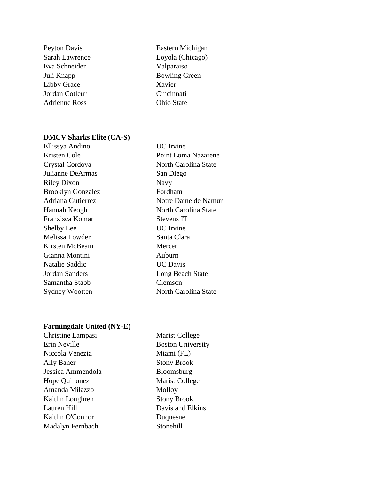- Eva Schneider Juli Knapp Bowling Green Libby Grace Xavier<br>
Jordan Cotleur
Cincinnati Jordan Cotleur Cincinnati<br>Adrienne Ross Chio State Adrienne Ross
- Peyton Davis **Eastern Michigan** Sarah Lawrence Loyola (Chicago)<br>
Eva Schneider Valparaiso

### **DMCV Sharks Elite (CA-S)**

| Ellissya Andino          | <b>UC</b> Irvine     |
|--------------------------|----------------------|
| Kristen Cole             | Point Loma Nazarene  |
| Crystal Cordova          | North Carolina State |
| Julianne DeArmas         | San Diego            |
| <b>Riley Dixon</b>       | Navy                 |
| <b>Brooklyn Gonzalez</b> | Fordham              |
| Adriana Gutierrez        | Notre Dame de Namur  |
| Hannah Keogh             | North Carolina State |
| Franzisca Komar          | Stevens IT           |
| <b>Shelby Lee</b>        | <b>UC</b> Irvine     |
| Melissa Lowder           | Santa Clara          |
| Kirsten McBeain          | Mercer               |
| Gianna Montini           | Auburn               |
| Natalie Saddic           | <b>UC</b> Davis      |
| Jordan Sanders           | Long Beach State     |
| Samantha Stabb           | Clemson              |
| Sydney Wootten           | North Carolina State |
|                          |                      |

# **Farmingdale United (NY-E)**

| Christine Lampasi | <b>Marist College</b>    |
|-------------------|--------------------------|
| Erin Neville      | <b>Boston University</b> |
| Niccola Venezia   | Miami (FL)               |
| Ally Baner        | <b>Stony Brook</b>       |
| Jessica Ammendola | Bloomsburg               |
| Hope Quinonez     | Marist College           |
| Amanda Milazzo    | Molloy                   |
| Kaitlin Loughren  | <b>Stony Brook</b>       |
| Lauren Hill       | Davis and Elkins         |
| Kaitlin O'Connor  | Duquesne                 |
| Madalyn Fernbach  | Stonehill                |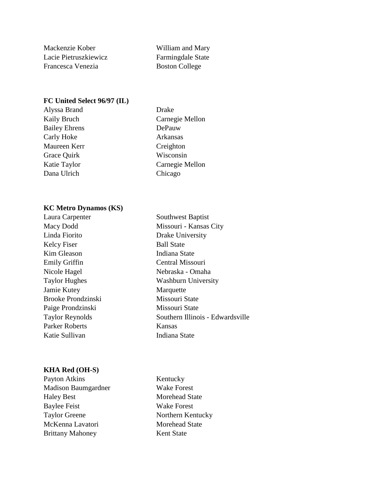Mackenzie Kober William and Mary Lacie Pietruszkiewicz Farmingdale State Francesca Venezia Boston College

### **FC United Select 96/97 (IL)**

Alyssa Brand Drake Bailey Ehrens DePauw Carly Hoke Arkansas Maureen Kerr Creighton Grace Quirk Wisconsin Dana Ulrich Chicago

Kaily Bruch Carnegie Mellon Katie Taylor Carnegie Mellon

### **KC Metro Dynamos (KS)**

Laura Carpenter Southwest Baptist Macy Dodd Missouri - Kansas City Linda Fiorito Drake University Kelcy Fiser Ball State Kim Gleason Indiana State Emily Griffin Central Missouri Nicole Hagel Nebraska - Omaha Taylor Hughes Washburn University Jamie Kutey Marquette Brooke Prondzinski Missouri State Paige Prondzinski Missouri State Parker Roberts Kansas Katie Sullivan Indiana State

Taylor Reynolds Southern Illinois - Edwardsville

### **KHA Red (OH-S)**

Payton Atkins Kentucky Madison Baumgardner Wake Forest Haley Best Morehead State Baylee Feist Wake Forest Taylor Greene Northern Kentucky McKenna Lavatori Morehead State Brittany Mahoney Kent State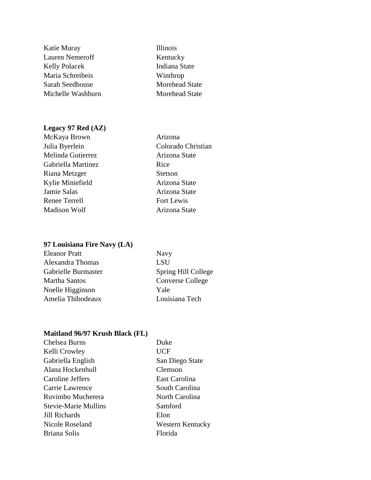## **Legacy 97 Red (AZ)**

| Ariz         |
|--------------|
| Colc         |
| Ariz         |
| Rice         |
| <b>Stets</b> |
| Ariz         |
| Ariz         |
| Fort         |
| Ariz         |
|              |

**Illinois** Kentucky Indiana State Winthrop Morehead State Morehead State

Arizona Colorado Christian Arizona State Stetson Arizona State Arizona State Fort Lewis Arizona State

## **97 Louisiana Fire Navy (LA)**

| <b>Eleanor Pratt</b> | <b>Navy</b>             |
|----------------------|-------------------------|
| Alexandra Thomas     | <b>LSU</b>              |
| Gabrielle Burmaster  | Spring Hill College     |
| <b>Martha Santos</b> | <b>Converse College</b> |
| Noelle Higginson     | Yale                    |
| Amelia Thibodeaux    | Louisiana Tech          |
|                      |                         |

### **Maitland 96/97 Krush Black (FL)**

| Chelsea Burns               | Duke             |
|-----------------------------|------------------|
| Kelli Crowley               | <b>UCF</b>       |
| Gabriella English           | San Diego State  |
| Alana Hockenhull            | Clemson          |
| Caroline Jeffers            | East Carolina    |
| Carrie Lawrence             | South Carolina   |
| Ruvimbo Mucherera           | North Carolina   |
| <b>Stevie-Marie Mullins</b> | Samford          |
| Jill Richards               | Elon             |
| Nicole Roseland             | Western Kentucky |
| Briana Solis                | Florida          |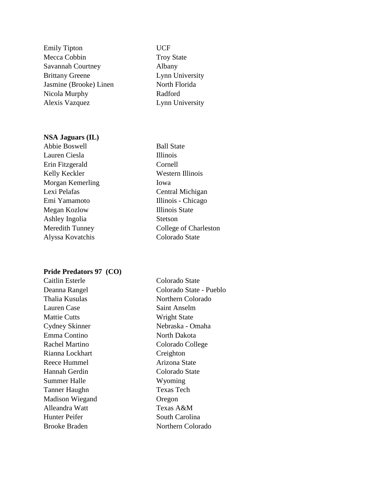Emily Tipton UCF Mecca Cobbin Troy State Savannah Courtney Albany Brittany Greene Lynn University Jasmine (Brooke) Linen North Florida Nicola Murphy Radford Alexis Vazquez Lynn University

### **NSA Jaguars (IL)**

Abbie Boswell Ball State Lauren Ciesla **Illinois** Erin Fitzgerald Cornell Kelly Keckler Western Illinois Morgan Kemerling Iowa Lexi Pelafas Central Michigan Emi Yamamoto Illinois - Chicago Megan Kozlow Illinois State Ashley Ingolia Stetson Alyssa Kovatchis Colorado State

Meredith Tunney College of Charleston

#### **Pride Predators 97 (CO)**

Lauren Case Saint Anselm Mattie Cutts Wright State Emma Contino North Dakota Rachel Martino Colorado College Rianna Lockhart Creighton Reece Hummel Arizona State Hannah Gerdin Colorado State Summer Halle Wyoming Tanner Haughn Texas Tech Madison Wiegand Oregon Alleandra Watt Texas A&M Hunter Peifer South Carolina

Caitlin Esterle Colorado State Deanna Rangel Colorado State - Pueblo Thalia Kusulas Northern Colorado Cydney Skinner Nebraska - Omaha Brooke Braden Northern Colorado